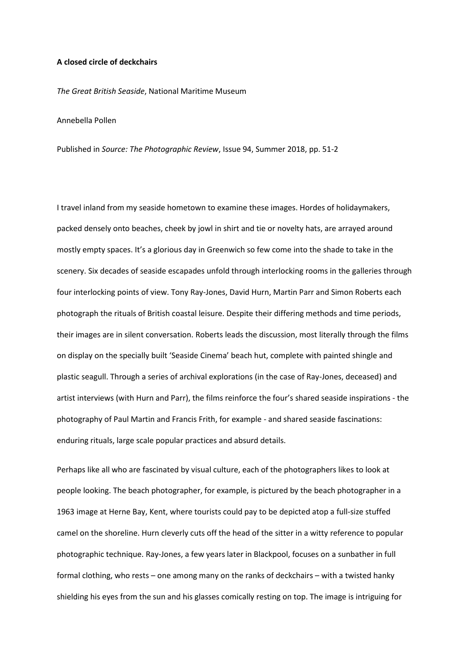## **A closed circle of deckchairs**

*The Great British Seaside*, National Maritime Museum

Annebella Pollen

Published in *Source: The Photographic Review*, Issue 94, Summer 2018, pp. 51-2

I travel inland from my seaside hometown to examine these images. Hordes of holidaymakers, packed densely onto beaches, cheek by jowl in shirt and tie or novelty hats, are arrayed around mostly empty spaces. It's a glorious day in Greenwich so few come into the shade to take in the scenery. Six decades of seaside escapades unfold through interlocking rooms in the galleries through four interlocking points of view. Tony Ray-Jones, David Hurn, Martin Parr and Simon Roberts each photograph the rituals of British coastal leisure. Despite their differing methods and time periods, their images are in silent conversation. Roberts leads the discussion, most literally through the films on display on the specially built 'Seaside Cinema' beach hut, complete with painted shingle and plastic seagull. Through a series of archival explorations (in the case of Ray-Jones, deceased) and artist interviews (with Hurn and Parr), the films reinforce the four's shared seaside inspirations - the photography of Paul Martin and Francis Frith, for example - and shared seaside fascinations: enduring rituals, large scale popular practices and absurd details.

Perhaps like all who are fascinated by visual culture, each of the photographers likes to look at people looking. The beach photographer, for example, is pictured by the beach photographer in a 1963 image at Herne Bay, Kent, where tourists could pay to be depicted atop a full-size stuffed camel on the shoreline. Hurn cleverly cuts off the head of the sitter in a witty reference to popular photographic technique. Ray-Jones, a few years later in Blackpool, focuses on a sunbather in full formal clothing, who rests – one among many on the ranks of deckchairs – with a twisted hanky shielding his eyes from the sun and his glasses comically resting on top. The image is intriguing for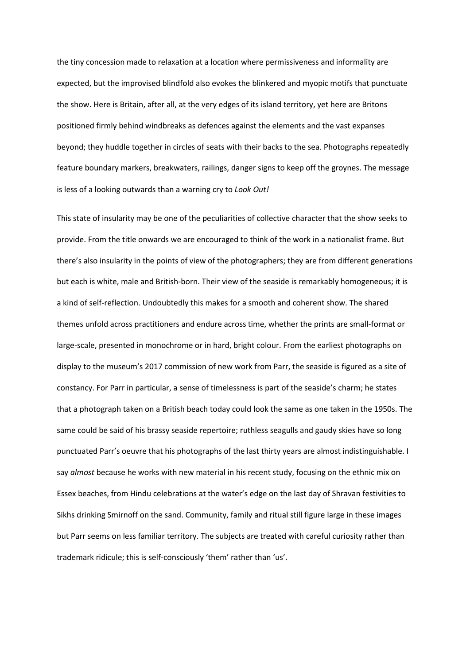the tiny concession made to relaxation at a location where permissiveness and informality are expected, but the improvised blindfold also evokes the blinkered and myopic motifs that punctuate the show. Here is Britain, after all, at the very edges of its island territory, yet here are Britons positioned firmly behind windbreaks as defences against the elements and the vast expanses beyond; they huddle together in circles of seats with their backs to the sea. Photographs repeatedly feature boundary markers, breakwaters, railings, danger signs to keep off the groynes. The message is less of a looking outwards than a warning cry to *Look Out!*

This state of insularity may be one of the peculiarities of collective character that the show seeks to provide. From the title onwards we are encouraged to think of the work in a nationalist frame. But there's also insularity in the points of view of the photographers; they are from different generations but each is white, male and British-born. Their view of the seaside is remarkably homogeneous; it is a kind of self-reflection. Undoubtedly this makes for a smooth and coherent show. The shared themes unfold across practitioners and endure across time, whether the prints are small-format or large-scale, presented in monochrome or in hard, bright colour. From the earliest photographs on display to the museum's 2017 commission of new work from Parr, the seaside is figured as a site of constancy. For Parr in particular, a sense of timelessness is part of the seaside's charm; he states that a photograph taken on a British beach today could look the same as one taken in the 1950s. The same could be said of his brassy seaside repertoire; ruthless seagulls and gaudy skies have so long punctuated Parr's oeuvre that his photographs of the last thirty years are almost indistinguishable. I say *almost* because he works with new material in his recent study, focusing on the ethnic mix on Essex beaches, from Hindu celebrations at the water's edge on the last day of Shravan festivities to Sikhs drinking Smirnoff on the sand. Community, family and ritual still figure large in these images but Parr seems on less familiar territory. The subjects are treated with careful curiosity rather than trademark ridicule; this is self-consciously 'them' rather than 'us'.